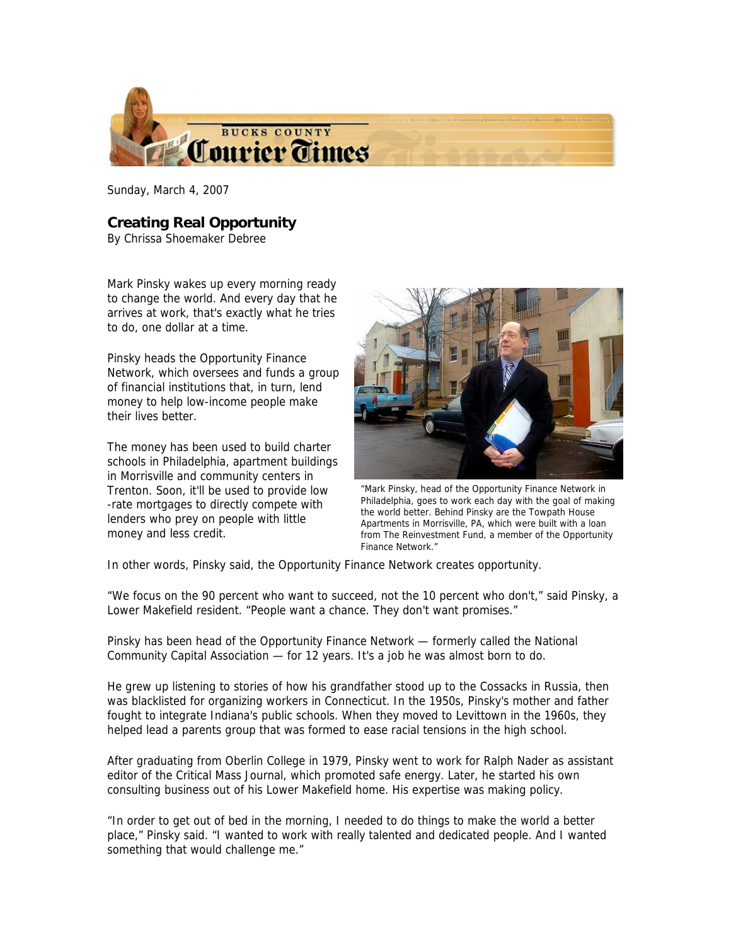

Sunday, March 4, 2007

## **Creating Real Opportunity**

By Chrissa Shoemaker Debree

Mark Pinsky wakes up every morning ready to change the world. And every day that he arrives at work, that's exactly what he tries to do, one dollar at a time.

Pinsky heads the Opportunity Finance Network, which oversees and funds a group of financial institutions that, in turn, lend money to help low-income people make their lives better.

The money has been used to build charter schools in Philadelphia, apartment buildings in Morrisville and community centers in Trenton. Soon, it'll be used to provide low -rate mortgages to directly compete with lenders who prey on people with little money and less credit.



"Mark Pinsky, head of the Opportunity Finance Network in Philadelphia, goes to work each day with the goal of making the world better. Behind Pinsky are the Towpath House Apartments in Morrisville, PA, which were built with a loan from The Reinvestment Fund, a member of the Opportunity Finance Network."

In other words, Pinsky said, the Opportunity Finance Network creates opportunity.

"We focus on the 90 percent who want to succeed, not the 10 percent who don't," said Pinsky, a Lower Makefield resident. "People want a chance. They don't want promises."

Pinsky has been head of the Opportunity Finance Network — formerly called the National Community Capital Association — for 12 years. It's a job he was almost born to do.

He grew up listening to stories of how his grandfather stood up to the Cossacks in Russia, then was blacklisted for organizing workers in Connecticut. In the 1950s, Pinsky's mother and father fought to integrate Indiana's public schools. When they moved to Levittown in the 1960s, they helped lead a parents group that was formed to ease racial tensions in the high school.

After graduating from Oberlin College in 1979, Pinsky went to work for Ralph Nader as assistant editor of the Critical Mass Journal, which promoted safe energy. Later, he started his own consulting business out of his Lower Makefield home. His expertise was making policy.

"In order to get out of bed in the morning, I needed to do things to make the world a better place," Pinsky said. "I wanted to work with really talented and dedicated people. And I wanted something that would challenge me."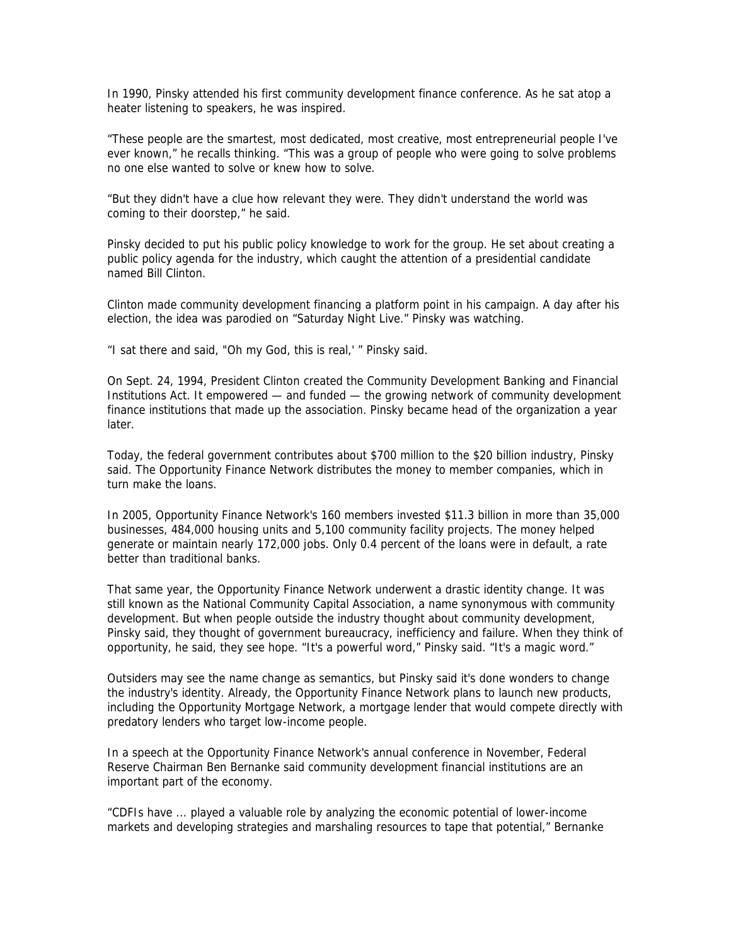In 1990, Pinsky attended his first community development finance conference. As he sat atop a heater listening to speakers, he was inspired.

"These people are the smartest, most dedicated, most creative, most entrepreneurial people I've ever known," he recalls thinking. "This was a group of people who were going to solve problems no one else wanted to solve or knew how to solve.

"But they didn't have a clue how relevant they were. They didn't understand the world was coming to their doorstep," he said.

Pinsky decided to put his public policy knowledge to work for the group. He set about creating a public policy agenda for the industry, which caught the attention of a presidential candidate named Bill Clinton.

Clinton made community development financing a platform point in his campaign. A day after his election, the idea was parodied on "Saturday Night Live." Pinsky was watching.

"I sat there and said, "Oh my God, this is real,' " Pinsky said.

On Sept. 24, 1994, President Clinton created the Community Development Banking and Financial Institutions Act. It empowered — and funded — the growing network of community development finance institutions that made up the association. Pinsky became head of the organization a year later.

Today, the federal government contributes about \$700 million to the \$20 billion industry, Pinsky said. The Opportunity Finance Network distributes the money to member companies, which in turn make the loans.

In 2005, Opportunity Finance Network's 160 members invested \$11.3 billion in more than 35,000 businesses, 484,000 housing units and 5,100 community facility projects. The money helped generate or maintain nearly 172,000 jobs. Only 0.4 percent of the loans were in default, a rate better than traditional banks.

That same year, the Opportunity Finance Network underwent a drastic identity change. It was still known as the National Community Capital Association, a name synonymous with community development. But when people outside the industry thought about community development, Pinsky said, they thought of government bureaucracy, inefficiency and failure. When they think of opportunity, he said, they see hope. "It's a powerful word," Pinsky said. "It's a magic word."

Outsiders may see the name change as semantics, but Pinsky said it's done wonders to change the industry's identity. Already, the Opportunity Finance Network plans to launch new products, including the Opportunity Mortgage Network, a mortgage lender that would compete directly with predatory lenders who target low-income people.

In a speech at the Opportunity Finance Network's annual conference in November, Federal Reserve Chairman Ben Bernanke said community development financial institutions are an important part of the economy.

"CDFIs have ... played a valuable role by analyzing the economic potential of lower-income markets and developing strategies and marshaling resources to tape that potential," Bernanke